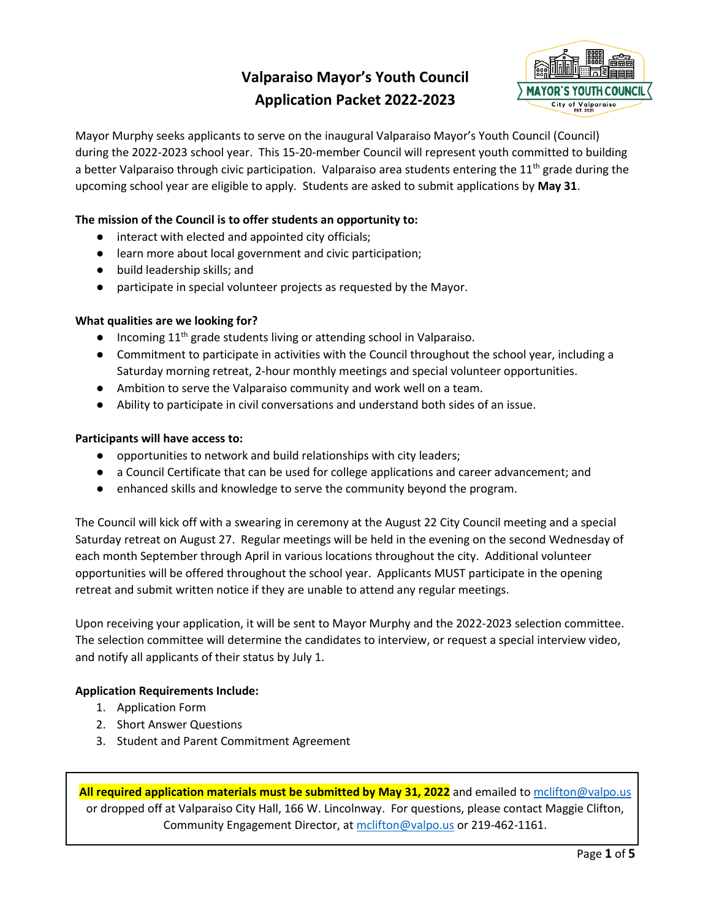# **Valparaiso Mayor's Youth Council Application Packet 2022-2023**



Mayor Murphy seeks applicants to serve on the inaugural Valparaiso Mayor's Youth Council (Council) during the 2022-2023 school year. This 15-20-member Council will represent youth committed to building a better Valparaiso through civic participation. Valparaiso area students entering the  $11<sup>th</sup>$  grade during the upcoming school year are eligible to apply. Students are asked to submit applications by **May 31**.

### **The mission of the Council is to offer students an opportunity to:**

- interact with elected and appointed city officials;
- learn more about local government and civic participation;
- build leadership skills; and
- participate in special volunteer projects as requested by the Mayor.

#### **What qualities are we looking for?**

- Incoming 11<sup>th</sup> grade students living or attending school in Valparaiso.
- Commitment to participate in activities with the Council throughout the school year, including a Saturday morning retreat, 2-hour monthly meetings and special volunteer opportunities.
- Ambition to serve the Valparaiso community and work well on a team.
- Ability to participate in civil conversations and understand both sides of an issue.

#### **Participants will have access to:**

- opportunities to network and build relationships with city leaders;
- a Council Certificate that can be used for college applications and career advancement; and
- enhanced skills and knowledge to serve the community beyond the program.

The Council will kick off with a swearing in ceremony at the August 22 City Council meeting and a special Saturday retreat on August 27. Regular meetings will be held in the evening on the second Wednesday of each month September through April in various locations throughout the city. Additional volunteer opportunities will be offered throughout the school year. Applicants MUST participate in the opening retreat and submit written notice if they are unable to attend any regular meetings.

Upon receiving your application, it will be sent to Mayor Murphy and the 2022-2023 selection committee. The selection committee will determine the candidates to interview, or request a special interview video, and notify all applicants of their status by July 1.

#### **Application Requirements Include:**

- 1. Application Form
- 2. Short Answer Questions
- 3. Student and Parent Commitment Agreement

**All required application materials must be submitted by May 31, 2022** and emailed t[o mclifton@valpo.us](mailto:mclifton@valpo.us) or dropped off at Valparaiso City Hall, 166 W. Lincolnway. For questions, please contact Maggie Clifton, Community Engagement Director, at molifton@valpo.us or 219-462-1161.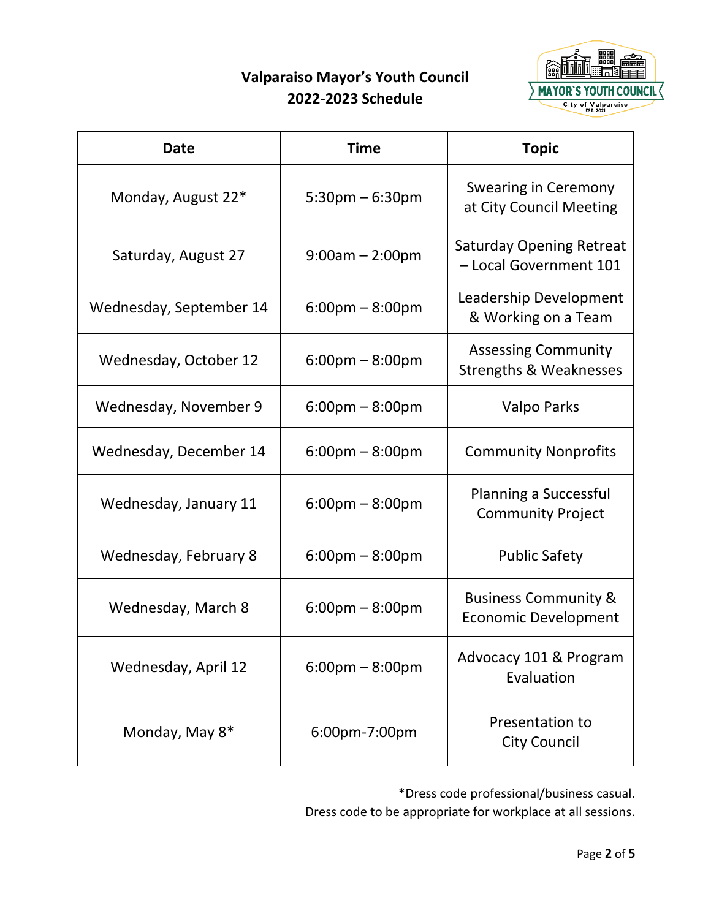# **Valparaiso Mayor's Youth Council 2022-2023 Schedule**



| <b>Date</b>             | <b>Time</b>                       | <b>Topic</b>                                                    |
|-------------------------|-----------------------------------|-----------------------------------------------------------------|
| Monday, August 22*      | $5:30$ pm $-6:30$ pm              | Swearing in Ceremony<br>at City Council Meeting                 |
| Saturday, August 27     | $9:00am - 2:00pm$                 | <b>Saturday Opening Retreat</b><br>- Local Government 101       |
| Wednesday, September 14 | $6:00 \text{pm} - 8:00 \text{pm}$ | Leadership Development<br>& Working on a Team                   |
| Wednesday, October 12   | $6:00 \text{pm} - 8:00 \text{pm}$ | <b>Assessing Community</b><br><b>Strengths &amp; Weaknesses</b> |
| Wednesday, November 9   | $6:00 \text{pm} - 8:00 \text{pm}$ | Valpo Parks                                                     |
| Wednesday, December 14  | $6:00 \text{pm} - 8:00 \text{pm}$ | <b>Community Nonprofits</b>                                     |
| Wednesday, January 11   | $6:00$ pm $-8:00$ pm              | <b>Planning a Successful</b><br><b>Community Project</b>        |
| Wednesday, February 8   | $6:00 \text{pm} - 8:00 \text{pm}$ | <b>Public Safety</b>                                            |
| Wednesday, March 8      | $6:00 \text{pm} - 8:00 \text{pm}$ | <b>Business Community &amp;</b><br><b>Economic Development</b>  |
| Wednesday, April 12     | $6:00 \text{pm} - 8:00 \text{pm}$ | Advocacy 101 & Program<br>Evaluation                            |
| Monday, May 8*          | 6:00pm-7:00pm                     | Presentation to<br><b>City Council</b>                          |

\*Dress code professional/business casual.

Dress code to be appropriate for workplace at all sessions.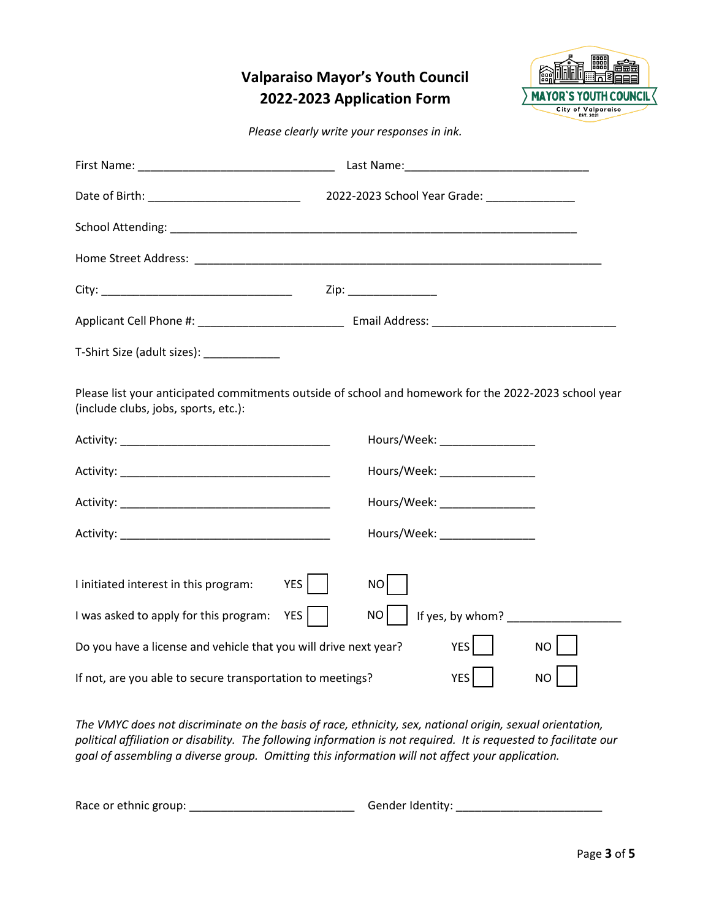## **Valparaiso Mayor's Youth Council 2022-2023 Application Form**



*Please clearly write your responses in ink.*

| Date of Birth: _______________________________                                                  | 2022-2023 School Year Grade: ______________                                                           |
|-------------------------------------------------------------------------------------------------|-------------------------------------------------------------------------------------------------------|
|                                                                                                 |                                                                                                       |
|                                                                                                 |                                                                                                       |
|                                                                                                 | Zip: _________________                                                                                |
|                                                                                                 |                                                                                                       |
| T-Shirt Size (adult sizes): ______________                                                      |                                                                                                       |
| (include clubs, jobs, sports, etc.):                                                            | Please list your anticipated commitments outside of school and homework for the 2022-2023 school year |
|                                                                                                 | Hours/Week: _________________                                                                         |
|                                                                                                 | Hours/Week: _________________                                                                         |
|                                                                                                 | Hours/Week: __________________                                                                        |
|                                                                                                 | Hours/Week: ________________                                                                          |
| YES<br>I initiated interest in this program:<br>YES  <br>I was asked to apply for this program: | NO<br>NO                                                                                              |
| Do you have a license and vehicle that you will drive next year?                                | YES  <br>NO                                                                                           |
| If not, are you able to secure transportation to meetings?                                      | YES<br><b>NO</b>                                                                                      |

*The VMYC does not discriminate on the basis of race, ethnicity, sex, national origin, sexual orientation, political affiliation or disability. The following information is not required. It is requested to facilitate our goal of assembling a diverse group. Omitting this information will not affect your application.*

| Race or ethnic group: |  | Gender Identity: |  |
|-----------------------|--|------------------|--|
|-----------------------|--|------------------|--|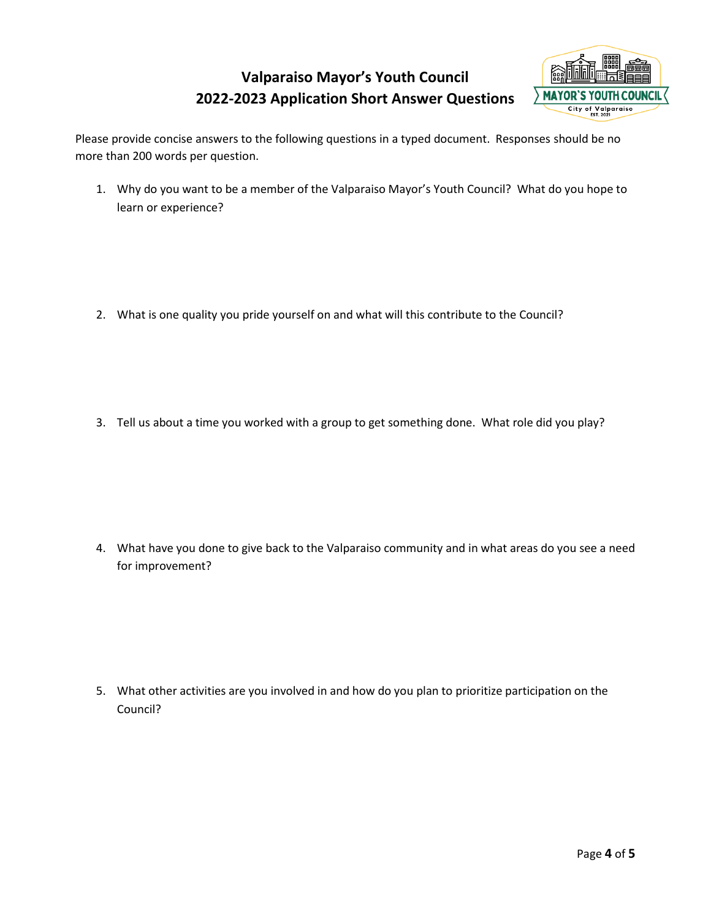# **Valparaiso Mayor's Youth Council 2022-2023 Application Short Answer Questions**



Please provide concise answers to the following questions in a typed document. Responses should be no more than 200 words per question.

1. Why do you want to be a member of the Valparaiso Mayor's Youth Council? What do you hope to learn or experience?

- 2. What is one quality you pride yourself on and what will this contribute to the Council?
- 3. Tell us about a time you worked with a group to get something done. What role did you play?

4. What have you done to give back to the Valparaiso community and in what areas do you see a need for improvement?

5. What other activities are you involved in and how do you plan to prioritize participation on the Council?